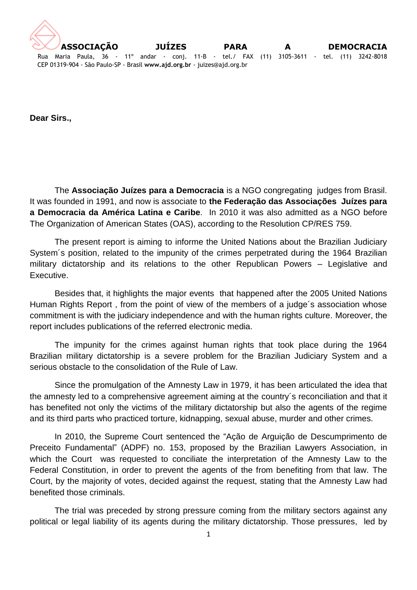

**Dear Sirs.,**

The **Associação Juízes para a Democracia** is a NGO congregating judges from Brasil. It was founded in 1991, and now is associate to **the Federação das Associações Juízes para a Democracia da América Latina e Caribe**. In 2010 it was also admitted as a NGO before The Organization of American States (OAS), according to the Resolution CP/RES 759.

The present report is aiming to informe the United Nations about the Brazilian Judiciary System´s position, related to the impunity of the crimes perpetrated during the 1964 Brazilian military dictatorship and its relations to the other Republican Powers – Legislative and Executive.

Besides that, it highlights the major events that happened after the 2005 United Nations Human Rights Report , from the point of view of the members of a judge´s association whose commitment is with the judiciary independence and with the human rights culture. Moreover, the report includes publications of the referred electronic media.

The impunity for the crimes against human rights that took place during the 1964 Brazilian military dictatorship is a severe problem for the Brazilian Judiciary System and a serious obstacle to the consolidation of the Rule of Law.

Since the promulgation of the Amnesty Law in 1979, it has been articulated the idea that the amnesty led to a comprehensive agreement aiming at the country´s reconciliation and that it has benefited not only the victims of the military dictatorship but also the agents of the regime and its third parts who practiced torture, kidnapping, sexual abuse, murder and other crimes.

In 2010, the Supreme Court sentenced the "Ação de Arguição de Descumprimento de Preceito Fundamental" (ADPF) no. 153, proposed by the Brazilian Lawyers Association, in which the Court was requested to conciliate the interpretation of the Amnesty Law to the Federal Constitution, in order to prevent the agents of the from benefiting from that law. The Court, by the majority of votes, decided against the request, stating that the Amnesty Law had benefited those criminals.

The trial was preceded by strong pressure coming from the military sectors against any political or legal liability of its agents during the military dictatorship. Those pressures, led by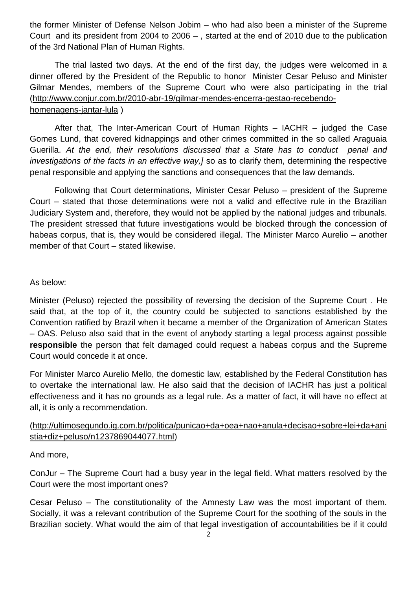the former Minister of Defense Nelson Jobim – who had also been a minister of the Supreme Court and its president from 2004 to 2006 – , started at the end of 2010 due to the publication of the 3rd National Plan of Human Rights.

The trial lasted two days. At the end of the first day, the judges were welcomed in a dinner offered by the President of the Republic to honor Minister Cesar Peluso and Minister Gilmar Mendes, members of the Supreme Court who were also participating in the trial [\(http://www.conjur.com.br/2010-abr-19/gilmar-mendes-encerra-gestao-recebendo](https://correio.tjsp.jus.br/OWA/redir.aspx?C=b964122e5ed747cbb8db9ea16c5f9257&URL=http%3a%2f%2fwww.conjur.com.br%2f2010-abr-19%2fgilmar-mendes-encerra-gestao-recebendo-homenagens-jantar-lula)[homenagens-jantar-lula](https://correio.tjsp.jus.br/OWA/redir.aspx?C=b964122e5ed747cbb8db9ea16c5f9257&URL=http%3a%2f%2fwww.conjur.com.br%2f2010-abr-19%2fgilmar-mendes-encerra-gestao-recebendo-homenagens-jantar-lula) )

After that, The Inter-American Court of Human Rights – IACHR – judged the Case Gomes Lund, that covered kidnappings and other crimes committed in the so called Araguaia Guerilla. *At the end, their resolutions discussed that a State has to conduct penal and investigations of the facts in an effective way,]* so as to clarify them, determining the respective penal responsible and applying the sanctions and consequences that the law demands.

Following that Court determinations, Minister Cesar Peluso – president of the Supreme Court – stated that those determinations were not a valid and effective rule in the Brazilian Judiciary System and, therefore, they would not be applied by the national judges and tribunals. The president stressed that future investigations would be blocked through the concession of habeas corpus, that is, they would be considered illegal. The Minister Marco Aurelio – another member of that Court – stated likewise.

## As below:

Minister (Peluso) rejected the possibility of reversing the decision of the Supreme Court . He said that, at the top of it, the country could be subjected to sanctions established by the Convention ratified by Brazil when it became a member of the Organization of American States – OAS. Peluso also said that in the event of anybody starting a legal process against possible **responsible** the person that felt damaged could request a habeas corpus and the Supreme Court would concede it at once.

For Minister Marco Aurelio Mello, the domestic law, established by the Federal Constitution has to overtake the international law. He also said that the decision of IACHR has just a political effectiveness and it has no grounds as a legal rule. As a matter of fact, it will have no effect at all, it is only a recommendation.

## [\(http://ultimosegundo.ig.com.br/politica/punicao+da+oea+nao+anula+decisao+sobre+lei+da+ani](https://correio.tjsp.jus.br/OWA/redir.aspx?C=b964122e5ed747cbb8db9ea16c5f9257&URL=http%3a%2f%2fultimosegundo.ig.com.br%2fpolitica%2fpunicao%2bda%2boea%2bnao%2banula%2bdecisao%2bsobre%2blei%2bda%2banistia%2bdiz%2bpeluso%2fn1237869044077.html) [stia+diz+peluso/n1237869044077.html\)](https://correio.tjsp.jus.br/OWA/redir.aspx?C=b964122e5ed747cbb8db9ea16c5f9257&URL=http%3a%2f%2fultimosegundo.ig.com.br%2fpolitica%2fpunicao%2bda%2boea%2bnao%2banula%2bdecisao%2bsobre%2blei%2bda%2banistia%2bdiz%2bpeluso%2fn1237869044077.html)

## And more,

ConJur – The Supreme Court had a busy year in the legal field. What matters resolved by the Court were the most important ones?

Cesar Peluso – The constitutionality of the Amnesty Law was the most important of them. Socially, it was a relevant contribution of the Supreme Court for the soothing of the souls in the Brazilian society. What would the aim of that legal investigation of accountabilities be if it could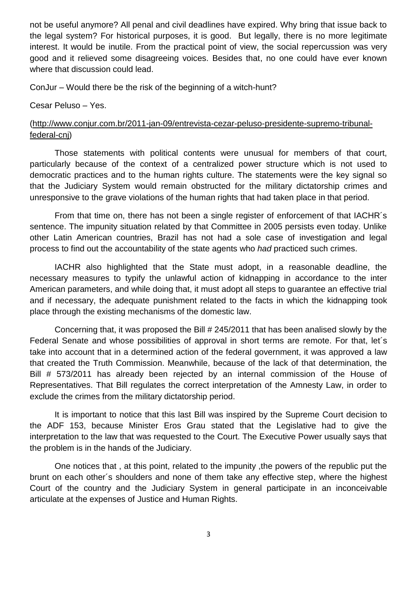not be useful anymore? All penal and civil deadlines have expired. Why bring that issue back to the legal system? For historical purposes, it is good. But legally, there is no more legitimate interest. It would be inutile. From the practical point of view, the social repercussion was very good and it relieved some disagreeing voices. Besides that, no one could have ever known where that discussion could lead.

ConJur – Would there be the risk of the beginning of a witch-hunt?

Cesar Peluso – Yes.

## [\(http://www.conjur.com.br/2011-jan-09/entrevista-cezar-peluso-presidente-supremo-tribunal](https://correio.tjsp.jus.br/OWA/redir.aspx?C=b964122e5ed747cbb8db9ea16c5f9257&URL=http%3a%2f%2fwww.conjur.com.br%2f2011-jan-09%2fentrevista-cezar-peluso-presidente-supremo-tribunal-federal-cnj)[federal-cnj\)](https://correio.tjsp.jus.br/OWA/redir.aspx?C=b964122e5ed747cbb8db9ea16c5f9257&URL=http%3a%2f%2fwww.conjur.com.br%2f2011-jan-09%2fentrevista-cezar-peluso-presidente-supremo-tribunal-federal-cnj)

Those statements with political contents were unusual for members of that court, particularly because of the context of a centralized power structure which is not used to democratic practices and to the human rights culture. The statements were the key signal so that the Judiciary System would remain obstructed for the military dictatorship crimes and unresponsive to the grave violations of the human rights that had taken place in that period.

From that time on, there has not been a single register of enforcement of that IACHR´s sentence. The impunity situation related by that Committee in 2005 persists even today. Unlike other Latin American countries, Brazil has not had a sole case of investigation and legal process to find out the accountability of the state agents who *had* practiced such crimes.

IACHR also highlighted that the State must adopt, in a reasonable deadline, the necessary measures to typify the unlawful action of kidnapping in accordance to the inter American parameters, and while doing that, it must adopt all steps to guarantee an effective trial and if necessary, the adequate punishment related to the facts in which the kidnapping took place through the existing mechanisms of the domestic law.

Concerning that, it was proposed the Bill # 245/2011 that has been analised slowly by the Federal Senate and whose possibilities of approval in short terms are remote. For that, let´s take into account that in a determined action of the federal government, it was approved a law that created the Truth Commission. Meanwhile, because of the lack of that determination, the Bill # 573/2011 has already been rejected by an internal commission of the House of Representatives. That Bill regulates the correct interpretation of the Amnesty Law, in order to exclude the crimes from the military dictatorship period.

It is important to notice that this last Bill was inspired by the Supreme Court decision to the ADF 153, because Minister Eros Grau stated that the Legislative had to give the interpretation to the law that was requested to the Court. The Executive Power usually says that the problem is in the hands of the Judiciary.

One notices that , at this point, related to the impunity ,the powers of the republic put the brunt on each other´s shoulders and none of them take any effective step, where the highest Court of the country and the Judiciary System in general participate in an inconceivable articulate at the expenses of Justice and Human Rights.